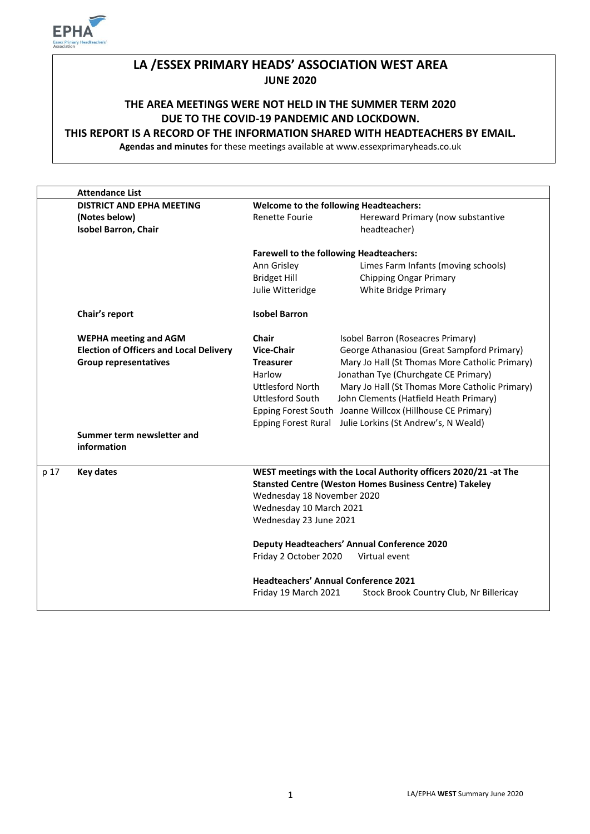

# **LA /ESSEX PRIMARY HEADS' ASSOCIATION WEST AREA JUNE 2020**

# **THE AREA MEETINGS WERE NOT HELD IN THE SUMMER TERM 2020 DUE TO THE COVID-19 PANDEMIC AND LOCKDOWN.**

#### **THIS REPORT IS A RECORD OF THE INFORMATION SHARED WITH HEADTEACHERS BY EMAIL.**

**Agendas and minutes** for these meetings available at www.essexprimaryheads.co.uk

|      | <b>Attendance List</b>                         |                                                                 |                                                           |  |
|------|------------------------------------------------|-----------------------------------------------------------------|-----------------------------------------------------------|--|
|      | <b>DISTRICT AND EPHA MEETING</b>               | <b>Welcome to the following Headteachers:</b>                   |                                                           |  |
|      | (Notes below)                                  | <b>Renette Fourie</b>                                           | Hereward Primary (now substantive                         |  |
|      | <b>Isobel Barron, Chair</b>                    |                                                                 | headteacher)                                              |  |
|      |                                                | <b>Farewell to the following Headteachers:</b>                  |                                                           |  |
|      |                                                | Ann Grisley                                                     | Limes Farm Infants (moving schools)                       |  |
|      |                                                | <b>Bridget Hill</b>                                             | <b>Chipping Ongar Primary</b>                             |  |
|      |                                                | Julie Witteridge                                                | White Bridge Primary                                      |  |
|      | Chair's report                                 | <b>Isobel Barron</b>                                            |                                                           |  |
|      | <b>WEPHA meeting and AGM</b>                   | Chair                                                           | Isobel Barron (Roseacres Primary)                         |  |
|      | <b>Election of Officers and Local Delivery</b> | <b>Vice-Chair</b>                                               | George Athanasiou (Great Sampford Primary)                |  |
|      | <b>Group representatives</b>                   | <b>Treasurer</b>                                                | Mary Jo Hall (St Thomas More Catholic Primary)            |  |
|      |                                                | Harlow                                                          | Jonathan Tye (Churchgate CE Primary)                      |  |
|      |                                                | <b>Uttlesford North</b>                                         | Mary Jo Hall (St Thomas More Catholic Primary)            |  |
|      |                                                | <b>Uttlesford South</b>                                         | John Clements (Hatfield Heath Primary)                    |  |
|      |                                                |                                                                 | Epping Forest South Joanne Willcox (Hillhouse CE Primary) |  |
|      |                                                | <b>Epping Forest Rural</b>                                      | Julie Lorkins (St Andrew's, N Weald)                      |  |
|      | Summer term newsletter and<br>information      |                                                                 |                                                           |  |
| p 17 | <b>Key dates</b>                               | WEST meetings with the Local Authority officers 2020/21 -at The |                                                           |  |
|      |                                                | <b>Stansted Centre (Weston Homes Business Centre) Takeley</b>   |                                                           |  |
|      |                                                | Wednesday 18 November 2020                                      |                                                           |  |
|      |                                                | Wednesday 10 March 2021                                         |                                                           |  |
|      |                                                | Wednesday 23 June 2021                                          |                                                           |  |
|      |                                                | <b>Deputy Headteachers' Annual Conference 2020</b>              |                                                           |  |
|      |                                                | Friday 2 October 2020                                           | Virtual event                                             |  |
|      |                                                | <b>Headteachers' Annual Conference 2021</b>                     |                                                           |  |
|      |                                                | Friday 19 March 2021                                            | Stock Brook Country Club, Nr Billericay                   |  |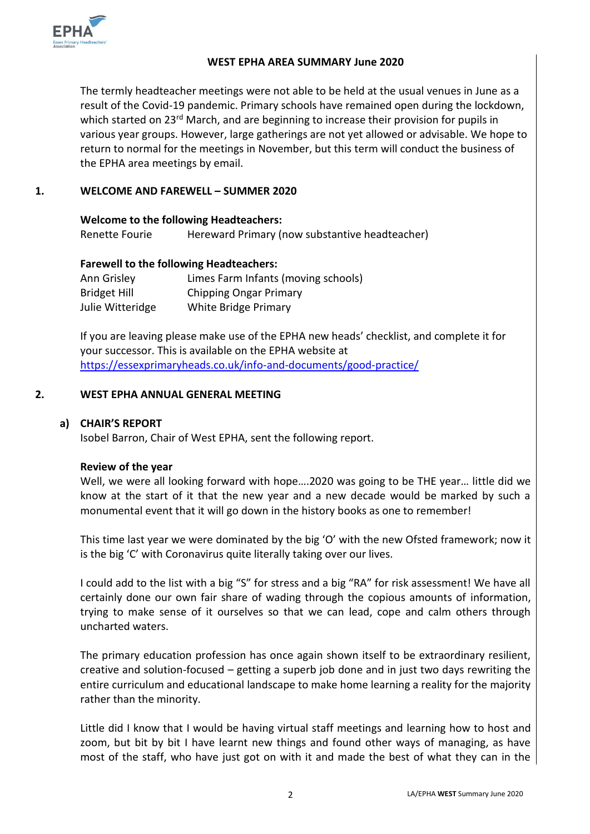

#### **WEST EPHA AREA SUMMARY June 2020**

The termly headteacher meetings were not able to be held at the usual venues in June as a result of the Covid-19 pandemic. Primary schools have remained open during the lockdown, which started on 23<sup>rd</sup> March, and are beginning to increase their provision for pupils in various year groups. However, large gatherings are not yet allowed or advisable. We hope to return to normal for the meetings in November, but this term will conduct the business of the EPHA area meetings by email.

## **1. WELCOME AND FAREWELL – SUMMER 2020**

| <b>Welcome to the following Headteachers:</b> |                                                |  |  |  |  |
|-----------------------------------------------|------------------------------------------------|--|--|--|--|
| Renette Fourie                                | Hereward Primary (now substantive headteacher) |  |  |  |  |

#### **Farewell to the following Headteachers:**

| Ann Grisley         | Limes Farm Infants (moving schools) |
|---------------------|-------------------------------------|
| <b>Bridget Hill</b> | Chipping Ongar Primary              |
| Julie Witteridge    | <b>White Bridge Primary</b>         |

If you are leaving please make use of the EPHA new heads' checklist, and complete it for your successor. This is available on the EPHA website at <https://essexprimaryheads.co.uk/info-and-documents/good-practice/>

#### **2. WEST EPHA ANNUAL GENERAL MEETING**

### **a) CHAIR'S REPORT**

Isobel Barron, Chair of West EPHA, sent the following report.

#### **Review of the year**

Well, we were all looking forward with hope….2020 was going to be THE year… little did we know at the start of it that the new year and a new decade would be marked by such a monumental event that it will go down in the history books as one to remember!

This time last year we were dominated by the big 'O' with the new Ofsted framework; now it is the big 'C' with Coronavirus quite literally taking over our lives.

I could add to the list with a big "S" for stress and a big "RA" for risk assessment! We have all certainly done our own fair share of wading through the copious amounts of information, trying to make sense of it ourselves so that we can lead, cope and calm others through uncharted waters.

The primary education profession has once again shown itself to be extraordinary resilient, creative and solution-focused – getting a superb job done and in just two days rewriting the entire curriculum and educational landscape to make home learning a reality for the majority rather than the minority.

Little did I know that I would be having virtual staff meetings and learning how to host and zoom, but bit by bit I have learnt new things and found other ways of managing, as have most of the staff, who have just got on with it and made the best of what they can in the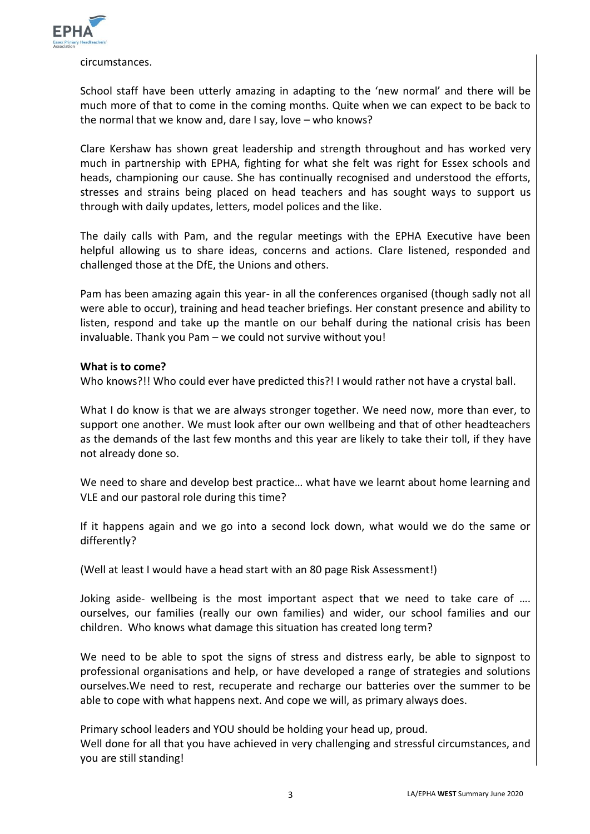

circumstances.

School staff have been utterly amazing in adapting to the 'new normal' and there will be much more of that to come in the coming months. Quite when we can expect to be back to the normal that we know and, dare I say, love – who knows?

Clare Kershaw has shown great leadership and strength throughout and has worked very much in partnership with EPHA, fighting for what she felt was right for Essex schools and heads, championing our cause. She has continually recognised and understood the efforts, stresses and strains being placed on head teachers and has sought ways to support us through with daily updates, letters, model polices and the like.

The daily calls with Pam, and the regular meetings with the EPHA Executive have been helpful allowing us to share ideas, concerns and actions. Clare listened, responded and challenged those at the DfE, the Unions and others.

Pam has been amazing again this year- in all the conferences organised (though sadly not all were able to occur), training and head teacher briefings. Her constant presence and ability to listen, respond and take up the mantle on our behalf during the national crisis has been invaluable. Thank you Pam – we could not survive without you!

#### **What is to come?**

Who knows?!! Who could ever have predicted this?! I would rather not have a crystal ball.

What I do know is that we are always stronger together. We need now, more than ever, to support one another. We must look after our own wellbeing and that of other headteachers as the demands of the last few months and this year are likely to take their toll, if they have not already done so.

We need to share and develop best practice… what have we learnt about home learning and VLE and our pastoral role during this time?

If it happens again and we go into a second lock down, what would we do the same or differently?

(Well at least I would have a head start with an 80 page Risk Assessment!)

Joking aside- wellbeing is the most important aspect that we need to take care of …. ourselves, our families (really our own families) and wider, our school families and our children. Who knows what damage this situation has created long term?

We need to be able to spot the signs of stress and distress early, be able to signpost to professional organisations and help, or have developed a range of strategies and solutions ourselves.We need to rest, recuperate and recharge our batteries over the summer to be able to cope with what happens next. And cope we will, as primary always does.

Primary school leaders and YOU should be holding your head up, proud. Well done for all that you have achieved in very challenging and stressful circumstances, and you are still standing!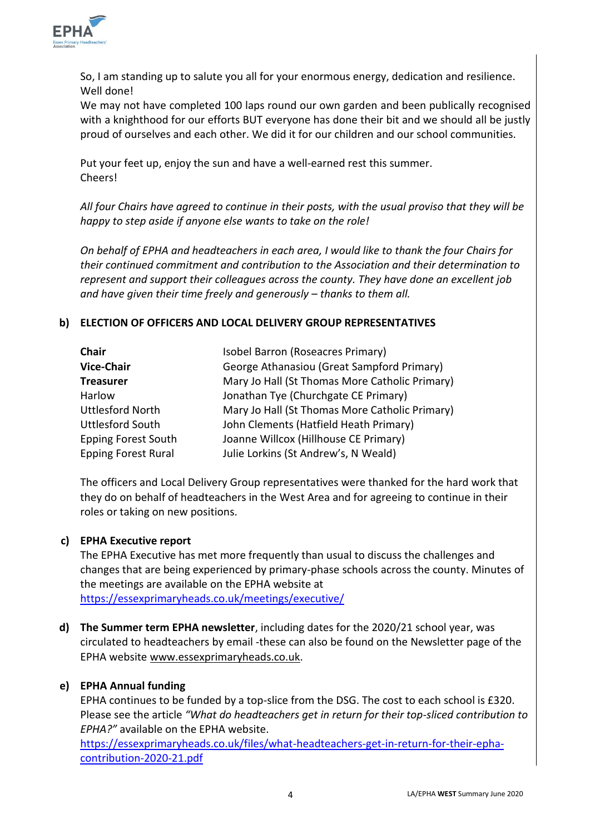

So, I am standing up to salute you all for your enormous energy, dedication and resilience. Well done!

We may not have completed 100 laps round our own garden and been publically recognised with a knighthood for our efforts BUT everyone has done their bit and we should all be justly proud of ourselves and each other. We did it for our children and our school communities.

Put your feet up, enjoy the sun and have a well-earned rest this summer. Cheers!

*All four Chairs have agreed to continue in their posts, with the usual proviso that they will be happy to step aside if anyone else wants to take on the role!* 

*On behalf of EPHA and headteachers in each area, I would like to thank the four Chairs for their continued commitment and contribution to the Association and their determination to represent and support their colleagues across the county. They have done an excellent job and have given their time freely and generously – thanks to them all.* 

# **b) ELECTION OF OFFICERS AND LOCAL DELIVERY GROUP REPRESENTATIVES**

| <b>Chair</b>               | Isobel Barron (Roseacres Primary)              |
|----------------------------|------------------------------------------------|
| <b>Vice-Chair</b>          | George Athanasiou (Great Sampford Primary)     |
| <b>Treasurer</b>           | Mary Jo Hall (St Thomas More Catholic Primary) |
| Harlow                     | Jonathan Tye (Churchgate CE Primary)           |
| <b>Uttlesford North</b>    | Mary Jo Hall (St Thomas More Catholic Primary) |
| <b>Uttlesford South</b>    | John Clements (Hatfield Heath Primary)         |
| <b>Epping Forest South</b> | Joanne Willcox (Hillhouse CE Primary)          |
| <b>Epping Forest Rural</b> | Julie Lorkins (St Andrew's, N Weald)           |

The officers and Local Delivery Group representatives were thanked for the hard work that they do on behalf of headteachers in the West Area and for agreeing to continue in their roles or taking on new positions.

#### **c) EPHA Executive report**

The EPHA Executive has met more frequently than usual to discuss the challenges and changes that are being experienced by primary-phase schools across the county. Minutes of the meetings are available on the EPHA website at <https://essexprimaryheads.co.uk/meetings/executive/>

**d) The Summer term EPHA newsletter**, including dates for the 2020/21 school year, was circulated to headteachers by email -these can also be found on the Newsletter page of the EPHA website [www.essexprimaryheads.co.uk.](http://www.essexprimaryheads.co.uk/)

#### **e) EPHA Annual funding**

EPHA continues to be funded by a top-slice from the DSG. The cost to each school is £320. Please see the article *"What do headteachers get in return for their top-sliced contribution to EPHA?"* available on the EPHA website.

[https://essexprimaryheads.co.uk/files/what-headteachers-get-in-return-for-their-epha](https://essexprimaryheads.co.uk/files/what-headteachers-get-in-return-for-their-epha-contribution-2020-21.pdf)[contribution-2020-21.pdf](https://essexprimaryheads.co.uk/files/what-headteachers-get-in-return-for-their-epha-contribution-2020-21.pdf)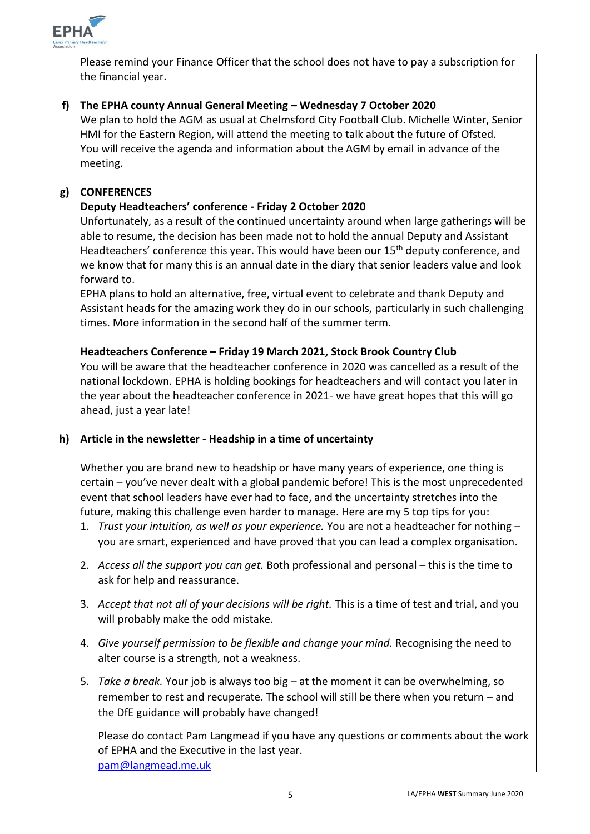

Please remind your Finance Officer that the school does not have to pay a subscription for the financial year.

# **f) The EPHA county Annual General Meeting – Wednesday 7 October 2020**

We plan to hold the AGM as usual at Chelmsford City Football Club. Michelle Winter, Senior HMI for the Eastern Region, will attend the meeting to talk about the future of Ofsted. You will receive the agenda and information about the AGM by email in advance of the meeting.

## **g) CONFERENCES**

### **Deputy Headteachers' conference - Friday 2 October 2020**

Unfortunately, as a result of the continued uncertainty around when large gatherings will be able to resume, the decision has been made not to hold the annual Deputy and Assistant Headteachers' conference this year. This would have been our 15<sup>th</sup> deputy conference, and we know that for many this is an annual date in the diary that senior leaders value and look forward to.

EPHA plans to hold an alternative, free, virtual event to celebrate and thank Deputy and Assistant heads for the amazing work they do in our schools, particularly in such challenging times. More information in the second half of the summer term.

#### **Headteachers Conference – Friday 19 March 2021, Stock Brook Country Club**

You will be aware that the headteacher conference in 2020 was cancelled as a result of the national lockdown. EPHA is holding bookings for headteachers and will contact you later in the year about the headteacher conference in 2021- we have great hopes that this will go ahead, just a year late!

#### **h) Article in the newsletter - Headship in a time of uncertainty**

Whether you are brand new to headship or have many years of experience, one thing is certain – you've never dealt with a global pandemic before! This is the most unprecedented event that school leaders have ever had to face, and the uncertainty stretches into the future, making this challenge even harder to manage. Here are my 5 top tips for you:

- 1. *Trust your intuition, as well as your experience.* You are not a headteacher for nothing you are smart, experienced and have proved that you can lead a complex organisation.
- 2. *Access all the support you can get.* Both professional and personal this is the time to ask for help and reassurance.
- 3. *Accept that not all of your decisions will be right.* This is a time of test and trial, and you will probably make the odd mistake.
- 4. *Give yourself permission to be flexible and change your mind.* Recognising the need to alter course is a strength, not a weakness.
- 5. *Take a break.* Your job is always too big at the moment it can be overwhelming, so remember to rest and recuperate. The school will still be there when you return – and the DfE guidance will probably have changed!

Please do contact Pam Langmead if you have any questions or comments about the work of EPHA and the Executive in the last year. [pam@langmead.me.uk](mailto:pam@langmead.me.uk)